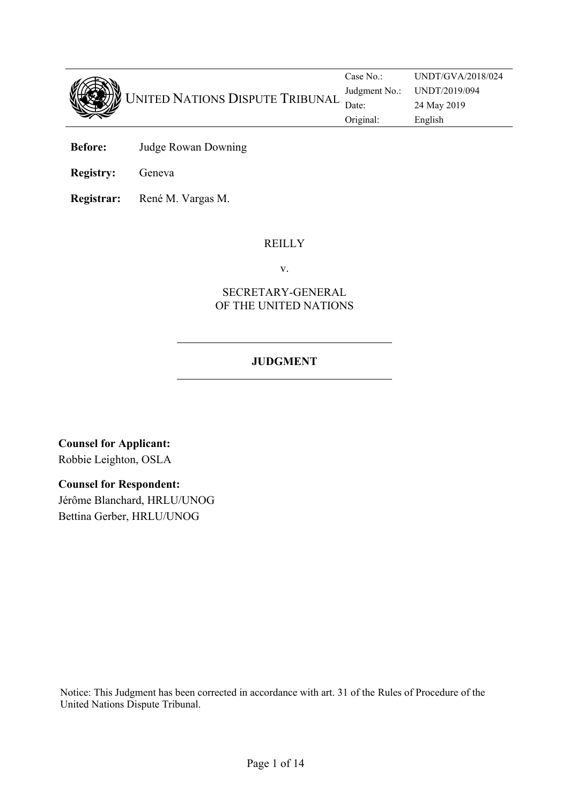

Case No.: UNDT/GVA/2018/024 Judgment No.: UNDT/2019/094 UNITED NATIONS DISPUTE TRIBUNAL Judgment No.: UND1/2019/ Original: English

- **Before:** Judge Rowan Downing
- **Registry:** Geneva
- **Registrar:** René M. Vargas M.

### <span id="page-0-0"></span>**REILLY**

v.

### SECRETARY-GENERAL OF THE UNITED NATIONS

# **JUDGMENT**

**Counsel for Applicant:** Robbie Leighton, OSLA

#### **Counsel for Respondent:**

Jérôme Blanchard, HRLU/UNOG Bettina Gerber, HRLU/UNOG

Notice: This Judgment has been corrected in accordance with art. 31 of the Rules of Procedure of the United Nations Dispute Tribunal.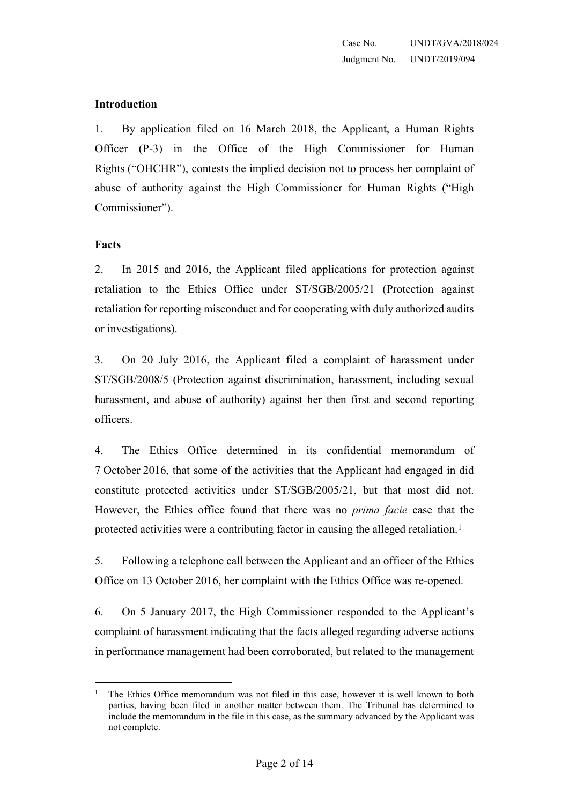#### **Introduction**

<span id="page-1-0"></span>1. By application filed on 16 March 2018, the Applicant, a Human Rights Officer (P-3) in the Office of the High Commissioner for Human Rights ("OHCHR"), contests the implied decision not to process her complaint of abuse of authority against the High Commissioner for Human Rights ("High Commissioner").

#### **Facts**

2. In 2015 and 2016, the Applicant filed applications for protection against retaliation to the Ethics Office under ST/SGB/2005/21 (Protection against retaliation for reporting misconduct and for cooperating with duly authorized audits or investigations).

3. On 20 July 2016, the Applicant filed a complaint of harassment under ST/SGB/2008/5 (Protection against discrimination, harassment, including sexual harassment, and abuse of authority) against her then first and second reporting officers.

4. The Ethics Office determined in its confidential memorandum of 7 October 2016, that some of the activities that the Applicant had engaged in did constitute protected activities under ST/SGB/2005/21, but that most did not. However, the Ethics office found that there was no *prima facie* case that the protected activities were a contributing factor in causing the alleged retaliation.<sup>1</sup>

5. Following a telephone call between the Applicant and an officer of the Ethics Office on 13 October 2016, her complaint with the Ethics Office was re-opened.

6. On 5 January 2017, the High Commissioner responded to the Applicant's complaint of harassment indicating that the facts alleged regarding adverse actions in performance management had been corroborated, but related to the management

<sup>&</sup>lt;sup>1</sup> The Ethics Office memorandum was not filed in this case, however it is well known to both parties, having been filed in another matter between them. The Tribunal has determined to include the memorandum in the file in this case, as the summary advanced by the Applicant was not complete.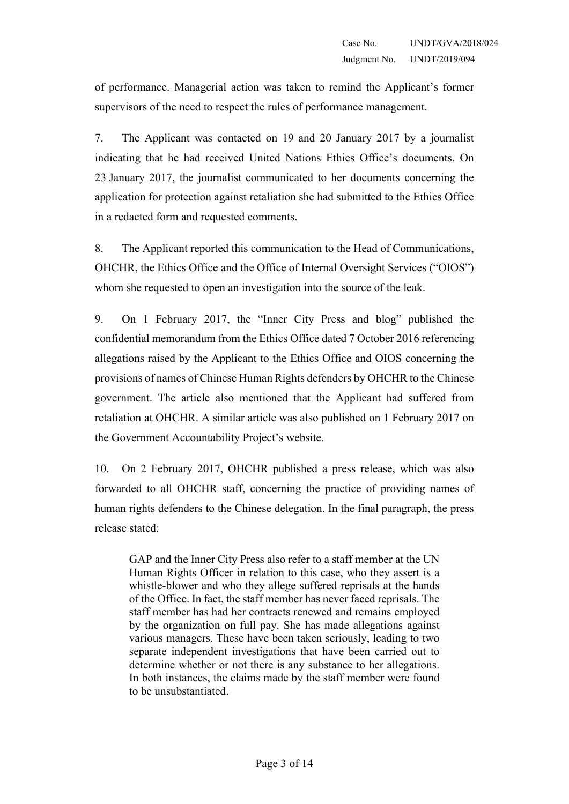of performance. Managerial action was taken to remind the Applicant's former supervisors of the need to respect the rules of performance management.

7. The Applicant was contacted on 19 and 20 January 2017 by a journalist indicating that he had received United Nations Ethics Office's documents. On 23 January 2017, the journalist communicated to her documents concerning the application for protection against retaliation she had submitted to the Ethics Office in a redacted form and requested comments.

8. The Applicant reported this communication to the Head of Communications, OHCHR, the Ethics Office and the Office of Internal Oversight Services ("OIOS") whom she requested to open an investigation into the source of the leak.

9. On 1 February 2017, the "Inner City Press and blog" published the confidential memorandum from the Ethics Office dated 7 October 2016 referencing allegations raised by the Applicant to the Ethics Office and OIOS concerning the provisions of names of Chinese Human Rights defenders by OHCHR to the Chinese government. The article also mentioned that the Applicant had suffered from retaliation at OHCHR. A similar article was also published on 1 February 2017 on the Government Accountability Project's website.

10. On 2 February 2017, OHCHR published a press release, which was also forwarded to all OHCHR staff, concerning the practice of providing names of human rights defenders to the Chinese delegation. In the final paragraph, the press release stated:

GAP and the Inner City Press also refer to a staff member at the UN Human Rights Officer in relation to this case, who they assert is a whistle-blower and who they allege suffered reprisals at the hands of the Office. In fact, the staff member has never faced reprisals. The staff member has had her contracts renewed and remains employed by the organization on full pay. She has made allegations against various managers. These have been taken seriously, leading to two separate independent investigations that have been carried out to determine whether or not there is any substance to her allegations. In both instances, the claims made by the staff member were found to be unsubstantiated.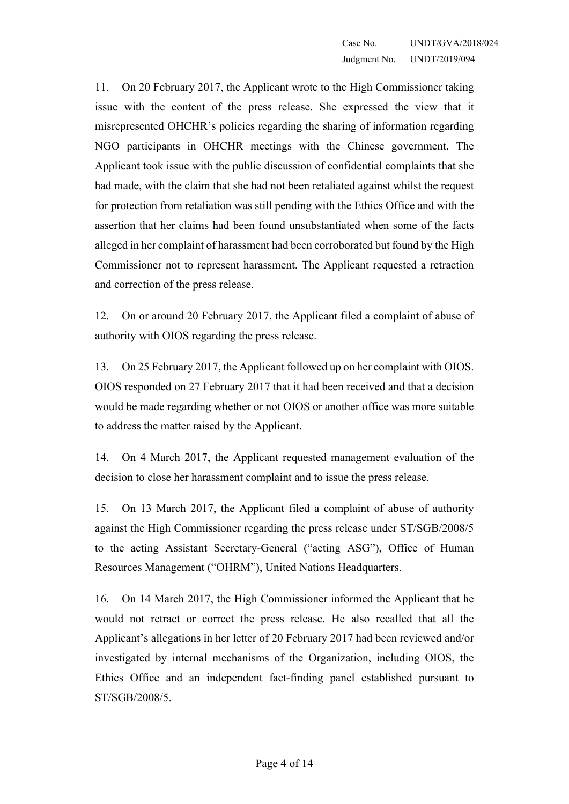11. On 20 February 2017, the Applicant wrote to the High Commissioner taking issue with the content of the press release. She expressed the view that it misrepresented OHCHR's policies regarding the sharing of information regarding NGO participants in OHCHR meetings with the Chinese government. The Applicant took issue with the public discussion of confidential complaints that she had made, with the claim that she had not been retaliated against whilst the request for protection from retaliation was still pending with the Ethics Office and with the assertion that her claims had been found unsubstantiated when some of the facts alleged in her complaint of harassment had been corroborated but found by the High Commissioner not to represent harassment. The Applicant requested a retraction and correction of the press release.

12. On or around 20 February 2017, the Applicant filed a complaint of abuse of authority with OIOS regarding the press release.

13. On 25 February 2017, the Applicant followed up on her complaint with OIOS. OIOS responded on 27 February 2017 that it had been received and that a decision would be made regarding whether or not OIOS or another office was more suitable to address the matter raised by the Applicant.

14. On 4 March 2017, the Applicant requested management evaluation of the decision to close her harassment complaint and to issue the press release.

15. On 13 March 2017, the Applicant filed a complaint of abuse of authority against the High Commissioner regarding the press release under ST/SGB/2008/5 to the acting Assistant Secretary-General ("acting ASG"), Office of Human Resources Management ("OHRM"), United Nations Headquarters.

16. On 14 March 2017, the High Commissioner informed the Applicant that he would not retract or correct the press release. He also recalled that all the Applicant's allegations in her letter of 20 February 2017 had been reviewed and/or investigated by internal mechanisms of the Organization, including OIOS, the Ethics Office and an independent fact-finding panel established pursuant to ST/SGB/2008/5.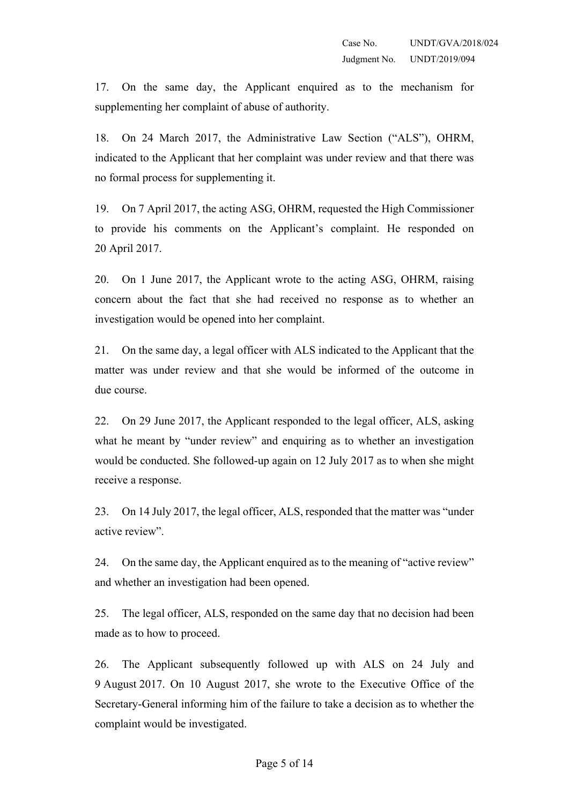17. On the same day, the Applicant enquired as to the mechanism for supplementing her complaint of abuse of authority.

18. On 24 March 2017, the Administrative Law Section ("ALS"), OHRM, indicated to the Applicant that her complaint was under review and that there was no formal process for supplementing it.

19. On 7 April 2017, the acting ASG, OHRM, requested the High Commissioner to provide his comments on the Applicant's complaint. He responded on 20 April 2017.

20. On 1 June 2017, the Applicant wrote to the acting ASG, OHRM, raising concern about the fact that she had received no response as to whether an investigation would be opened into her complaint.

21. On the same day, a legal officer with ALS indicated to the Applicant that the matter was under review and that she would be informed of the outcome in due course.

22. On 29 June 2017, the Applicant responded to the legal officer, ALS, asking what he meant by "under review" and enquiring as to whether an investigation would be conducted. She followed-up again on 12 July 2017 as to when she might receive a response.

23. On 14 July 2017, the legal officer, ALS, responded that the matter was "under active review".

24. On the same day, the Applicant enquired as to the meaning of "active review" and whether an investigation had been opened.

25. The legal officer, ALS, responded on the same day that no decision had been made as to how to proceed.

26. The Applicant subsequently followed up with ALS on 24 July and 9 August 2017. On 10 August 2017, she wrote to the Executive Office of the Secretary-General informing him of the failure to take a decision as to whether the complaint would be investigated.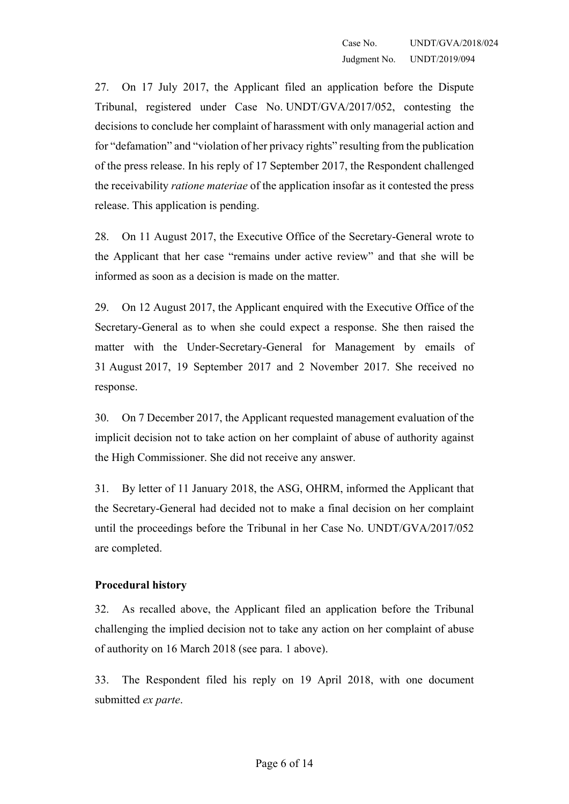27. On 17 July 2017, the Applicant filed an application before the Dispute Tribunal, registered under Case No. UNDT/GVA/2017/052, contesting the decisions to conclude her complaint of harassment with only managerial action and for "defamation" and "violation of her privacy rights" resulting from the publication of the press release. In his reply of 17 September 2017, the Respondent challenged the receivability *ratione materiae* of the application insofar as it contested the press release. This application is pending.

28. On 11 August 2017, the Executive Office of the Secretary-General wrote to the Applicant that her case "remains under active review" and that she will be informed as soon as a decision is made on the matter.

29. On 12 August 2017, the Applicant enquired with the Executive Office of the Secretary-General as to when she could expect a response. She then raised the matter with the Under-Secretary-General for Management by emails of 31 August 2017, 19 September 2017 and 2 November 2017. She received no response.

30. On 7 December 2017, the Applicant requested management evaluation of the implicit decision not to take action on her complaint of abuse of authority against the High Commissioner. She did not receive any answer.

31. By letter of 11 January 2018, the ASG, OHRM, informed the Applicant that the Secretary-General had decided not to make a final decision on her complaint until the proceedings before the Tribunal in her Case No. UNDT/GVA/2017/052 are completed.

### **Procedural history**

32. As recalled above, the Applicant filed an application before the Tribunal challenging the implied decision not to take any action on her complaint of abuse of authority on 16 March 2018 (see para. 1 [above\)](#page-1-0).

33. The Respondent filed his reply on 19 April 2018, with one document submitted *ex parte*.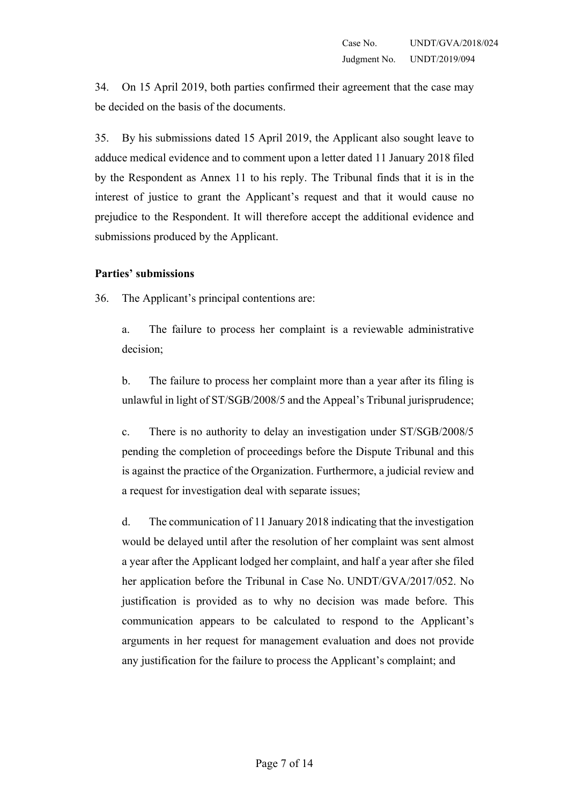34. On 15 April 2019, both parties confirmed their agreement that the case may be decided on the basis of the documents.

35. By his submissions dated 15 April 2019, the Applicant also sought leave to adduce medical evidence and to comment upon a letter dated 11 January 2018 filed by the Respondent as Annex 11 to his reply. The Tribunal finds that it is in the interest of justice to grant the Applicant's request and that it would cause no prejudice to the Respondent. It will therefore accept the additional evidence and submissions produced by the Applicant.

#### **Parties' submissions**

36. The Applicant's principal contentions are:

a. The failure to process her complaint is a reviewable administrative decision;

b. The failure to process her complaint more than a year after its filing is unlawful in light of ST/SGB/2008/5 and the Appeal's Tribunal jurisprudence;

c. There is no authority to delay an investigation under ST/SGB/2008/5 pending the completion of proceedings before the Dispute Tribunal and this is against the practice of the Organization. Furthermore, a judicial review and a request for investigation deal with separate issues;

d. The communication of 11 January 2018 indicating that the investigation would be delayed until after the resolution of her complaint was sent almost a year after the Applicant lodged her complaint, and half a year after she filed her application before the Tribunal in Case No. UNDT/GVA/2017/052. No justification is provided as to why no decision was made before. This communication appears to be calculated to respond to the Applicant's arguments in her request for management evaluation and does not provide any justification for the failure to process the Applicant's complaint; and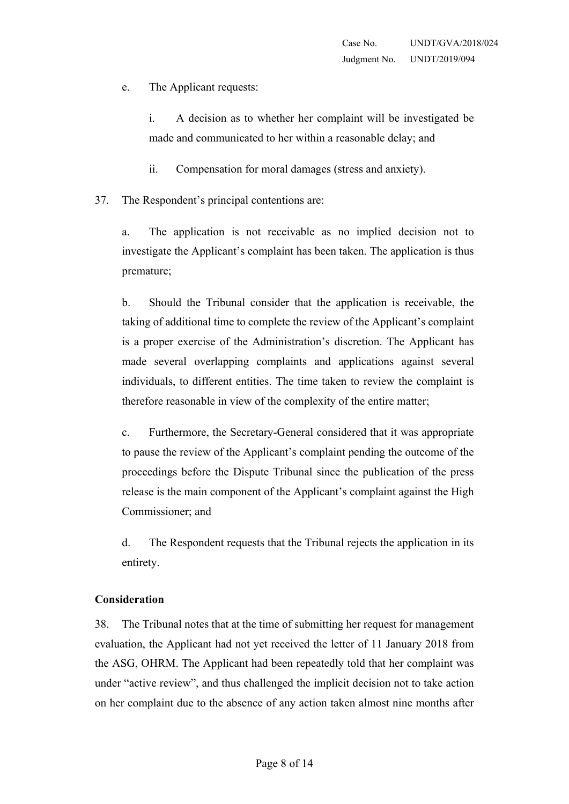e. The Applicant requests:

i. A decision as to whether her complaint will be investigated be made and communicated to her within a reasonable delay; and

ii. Compensation for moral damages (stress and anxiety).

37. The Respondent's principal contentions are:

a. The application is not receivable as no implied decision not to investigate the Applicant's complaint has been taken. The application is thus premature;

b. Should the Tribunal consider that the application is receivable, the taking of additional time to complete the review of the Applicant's complaint is a proper exercise of the Administration's discretion. The Applicant has made several overlapping complaints and applications against several individuals, to different entities. The time taken to review the complaint is therefore reasonable in view of the complexity of the entire matter;

c. Furthermore, the Secretary-General considered that it was appropriate to pause the review of the Applicant's complaint pending the outcome of the proceedings before the Dispute Tribunal since the publication of the press release is the main component of the Applicant's complaint against the High Commissioner; and

d. The Respondent requests that the Tribunal rejects the application in its entirety.

### **Consideration**

38. The Tribunal notes that at the time of submitting her request for management evaluation, the Applicant had not yet received the letter of 11 January 2018 from the ASG, OHRM. The Applicant had been repeatedly told that her complaint was under "active review", and thus challenged the implicit decision not to take action on her complaint due to the absence of any action taken almost nine months after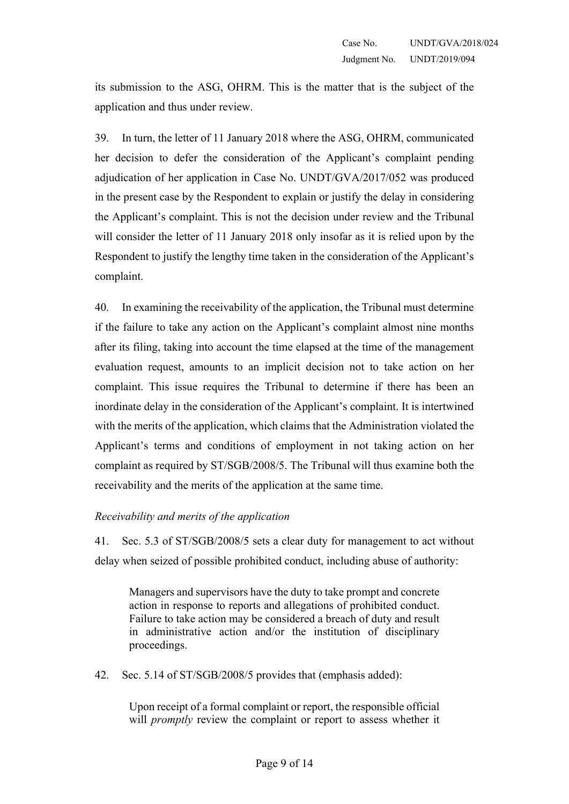its submission to the ASG, OHRM. This is the matter that is the subject of the application and thus under review.

39. In turn, the letter of 11 January 2018 where the ASG, OHRM, communicated her decision to defer the consideration of the Applicant's complaint pending adjudication of her application in Case No. UNDT/GVA/2017/052 was produced in the present case by the Respondent to explain or justify the delay in considering the Applicant's complaint. This is not the decision under review and the Tribunal will consider the letter of 11 January 2018 only insofar as it is relied upon by the Respondent to justify the lengthy time taken in the consideration of the Applicant's complaint.

40. In examining the receivability of the application, the Tribunal must determine if the failure to take any action on the Applicant's complaint almost nine months after its filing, taking into account the time elapsed at the time of the management evaluation request, amounts to an implicit decision not to take action on her complaint. This issue requires the Tribunal to determine if there has been an inordinate delay in the consideration of the Applicant's complaint. It is intertwined with the merits of the application, which claims that the Administration violated the Applicant's terms and conditions of employment in not taking action on her complaint as required by ST/SGB/2008/5. The Tribunal will thus examine both the receivability and the merits of the application at the same time.

### *Receivability and merits of the application*

41. Sec. 5.3 of ST/SGB/2008/5 sets a clear duty for management to act without delay when seized of possible prohibited conduct, including abuse of authority:

Managers and supervisors have the duty to take prompt and concrete action in response to reports and allegations of prohibited conduct. Failure to take action may be considered a breach of duty and result in administrative action and/or the institution of disciplinary proceedings.

42. Sec. 5.14 of ST/SGB/2008/5 provides that (emphasis added):

Upon receipt of a formal complaint or report, the responsible official will *promptly* review the complaint or report to assess whether it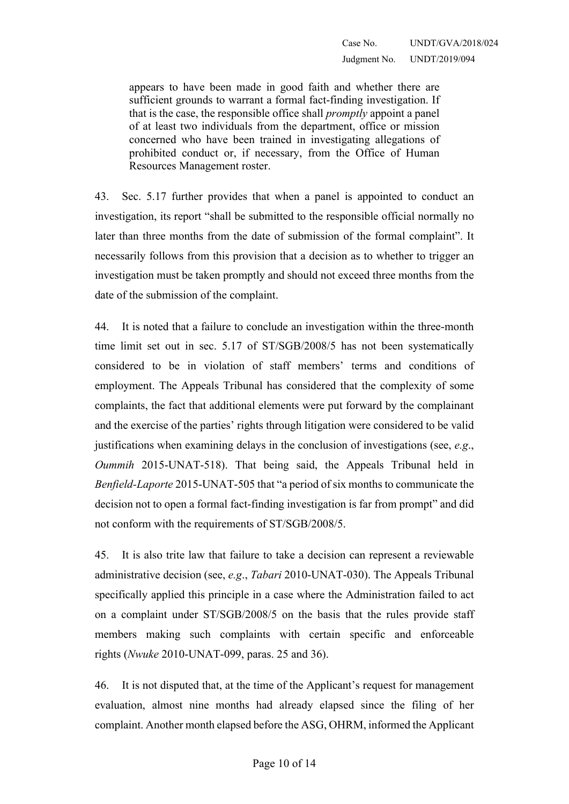appears to have been made in good faith and whether there are sufficient grounds to warrant a formal fact-finding investigation. If that is the case, the responsible office shall *promptly* appoint a panel of at least two individuals from the department, office or mission concerned who have been trained in investigating allegations of prohibited conduct or, if necessary, from the Office of Human Resources Management roster.

43. Sec. 5.17 further provides that when a panel is appointed to conduct an investigation, its report "shall be submitted to the responsible official normally no later than three months from the date of submission of the formal complaint". It necessarily follows from this provision that a decision as to whether to trigger an investigation must be taken promptly and should not exceed three months from the date of the submission of the complaint.

<span id="page-9-0"></span>44. It is noted that a failure to conclude an investigation within the three-month time limit set out in sec. 5.17 of ST/SGB/2008/5 has not been systematically considered to be in violation of staff members' terms and conditions of employment. The Appeals Tribunal has considered that the complexity of some complaints, the fact that additional elements were put forward by the complainant and the exercise of the parties' rights through litigation were considered to be valid justifications when examining delays in the conclusion of investigations (see, *e.g*., *Oummih* 2015-UNAT-518). That being said, the Appeals Tribunal held in *Benfield-Laporte* 2015-UNAT-505 that "a period of six months to communicate the decision not to open a formal fact-finding investigation is far from prompt" and did not conform with the requirements of ST/SGB/2008/5.

45. It is also trite law that failure to take a decision can represent a reviewable administrative decision (see, *e.g*., *Tabari* 2010-UNAT-030). The Appeals Tribunal specifically applied this principle in a case where the Administration failed to act on a complaint under ST/SGB/2008/5 on the basis that the rules provide staff members making such complaints with certain specific and enforceable rights (*Nwuke* 2010-UNAT-099, paras. 25 and 36).

46. It is not disputed that, at the time of the Applicant's request for management evaluation, almost nine months had already elapsed since the filing of her complaint. Another month elapsed before the ASG, OHRM, informed the Applicant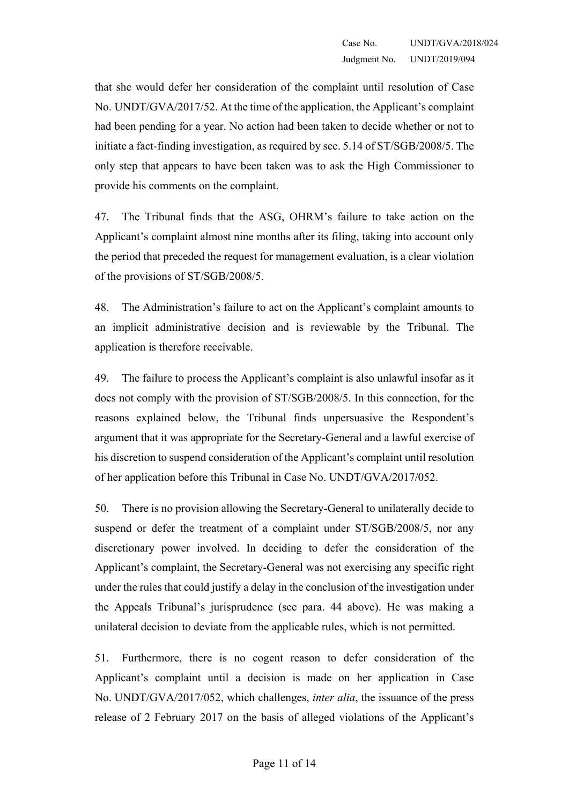that she would defer her consideration of the complaint until resolution of Case No. UNDT/GVA/2017/52. At the time of the application, the Applicant's complaint had been pending for a year. No action had been taken to decide whether or not to initiate a fact-finding investigation, as required by sec. 5.14 of ST/SGB/2008/5. The only step that appears to have been taken was to ask the High Commissioner to provide his comments on the complaint.

47. The Tribunal finds that the ASG, OHRM's failure to take action on the Applicant's complaint almost nine months after its filing, taking into account only the period that preceded the request for management evaluation, is a clear violation of the provisions of ST/SGB/2008/5.

48. The Administration's failure to act on the Applicant's complaint amounts to an implicit administrative decision and is reviewable by the Tribunal. The application is therefore receivable.

49. The failure to process the Applicant's complaint is also unlawful insofar as it does not comply with the provision of ST/SGB/2008/5. In this connection, for the reasons explained below, the Tribunal finds unpersuasive the Respondent's argument that it was appropriate for the Secretary-General and a lawful exercise of his discretion to suspend consideration of the Applicant's complaint until resolution of her application before this Tribunal in Case No. UNDT/GVA/2017/052.

50. There is no provision allowing the Secretary-General to unilaterally decide to suspend or defer the treatment of a complaint under ST/SGB/2008/5, nor any discretionary power involved. In deciding to defer the consideration of the Applicant's complaint, the Secretary-General was not exercising any specific right under the rules that could justify a delay in the conclusion of the investigation under the Appeals Tribunal's jurisprudence (see para. [44](#page-9-0) above). He was making a unilateral decision to deviate from the applicable rules, which is not permitted.

51. Furthermore, there is no cogent reason to defer consideration of the Applicant's complaint until a decision is made on her application in Case No. UNDT/GVA/2017/052, which challenges, *inter alia*, the issuance of the press release of 2 February 2017 on the basis of alleged violations of the Applicant's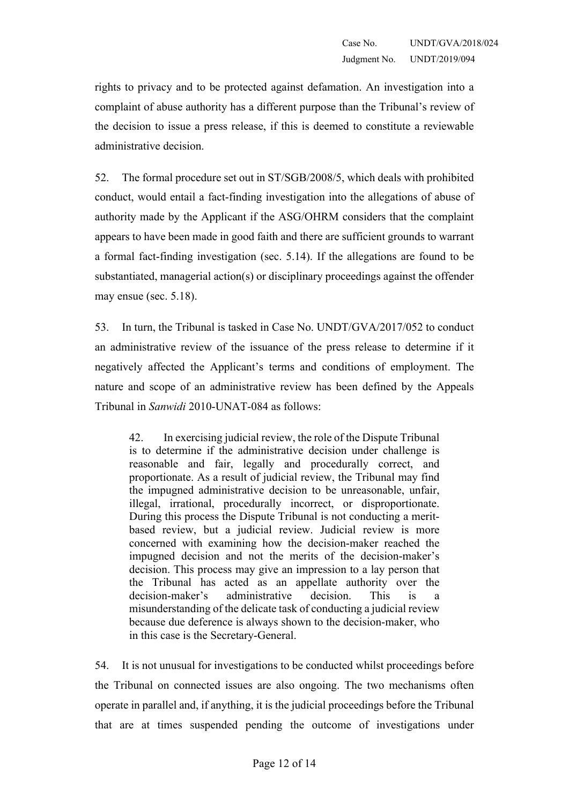rights to privacy and to be protected against defamation. An investigation into a complaint of abuse authority has a different purpose than the Tribunal's review of the decision to issue a press release, if this is deemed to constitute a reviewable administrative decision.

52. The formal procedure set out in ST/SGB/2008/5, which deals with prohibited conduct, would entail a fact-finding investigation into the allegations of abuse of authority made by the Applicant if the ASG/OHRM considers that the complaint appears to have been made in good faith and there are sufficient grounds to warrant a formal fact-finding investigation (sec. 5.14). If the allegations are found to be substantiated, managerial action(s) or disciplinary proceedings against the offender may ensue (sec. 5.18).

53. In turn, the Tribunal is tasked in Case No. UNDT/GVA/2017/052 to conduct an administrative review of the issuance of the press release to determine if it negatively affected the Applicant's terms and conditions of employment. The nature and scope of an administrative review has been defined by the Appeals Tribunal in *Sanwidi* 2010-UNAT-084 as follows:

42. In exercising judicial review, the role of the Dispute Tribunal is to determine if the administrative decision under challenge is reasonable and fair, legally and procedurally correct, and proportionate. As a result of judicial review, the Tribunal may find the impugned administrative decision to be unreasonable, unfair, illegal, irrational, procedurally incorrect, or disproportionate. During this process the Dispute Tribunal is not conducting a meritbased review, but a judicial review. Judicial review is more concerned with examining how the decision-maker reached the impugned decision and not the merits of the decision-maker's decision. This process may give an impression to a lay person that the Tribunal has acted as an appellate authority over the decision-maker's administrative decision. This is a misunderstanding of the delicate task of conducting a judicial review because due deference is always shown to the decision-maker, who in this case is the Secretary-General.

54. It is not unusual for investigations to be conducted whilst proceedings before the Tribunal on connected issues are also ongoing. The two mechanisms often operate in parallel and, if anything, it is the judicial proceedings before the Tribunal that are at times suspended pending the outcome of investigations under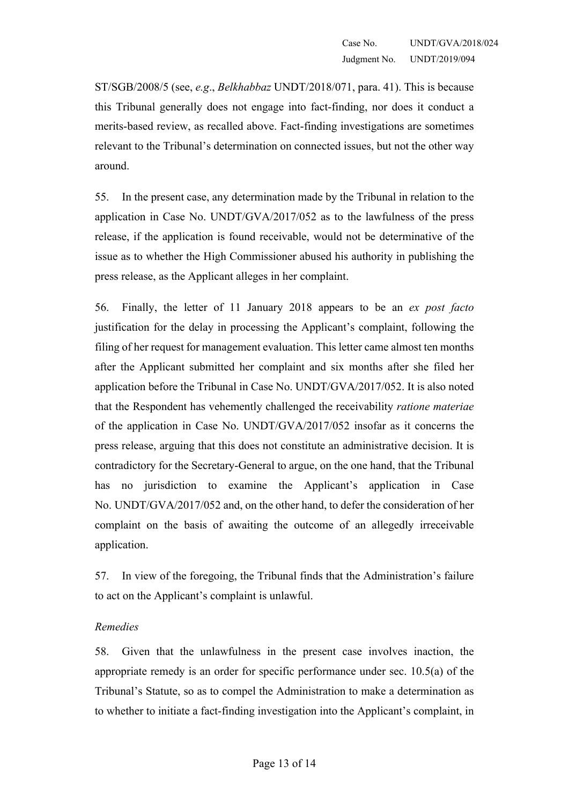ST/SGB/2008/5 (see, *e.g*., *Belkhabbaz* UNDT/2018/071, para. 41). This is because this Tribunal generally does not engage into fact-finding, nor does it conduct a merits-based review, as recalled above. Fact-finding investigations are sometimes relevant to the Tribunal's determination on connected issues, but not the other way around.

55. In the present case, any determination made by the Tribunal in relation to the application in Case No. UNDT/GVA/2017/052 as to the lawfulness of the press release, if the application is found receivable, would not be determinative of the issue as to whether the High Commissioner abused his authority in publishing the press release, as the Applicant alleges in her complaint.

56. Finally, the letter of 11 January 2018 appears to be an *ex post facto* justification for the delay in processing the Applicant's complaint, following the filing of her request for management evaluation. This letter came almost ten months after the Applicant submitted her complaint and six months after she filed her application before the Tribunal in Case No. UNDT/GVA/2017/052. It is also noted that the Respondent has vehemently challenged the receivability *ratione materiae* of the application in Case No. UNDT/GVA/2017/052 insofar as it concerns the press release, arguing that this does not constitute an administrative decision. It is contradictory for the Secretary-General to argue, on the one hand, that the Tribunal has no jurisdiction to examine the Applicant's application in Case No. UNDT/GVA/2017/052 and, on the other hand, to defer the consideration of her complaint on the basis of awaiting the outcome of an allegedly irreceivable application.

57. In view of the foregoing, the Tribunal finds that the Administration's failure to act on the Applicant's complaint is unlawful.

## *Remedies*

58. Given that the unlawfulness in the present case involves inaction, the appropriate remedy is an order for specific performance under sec. 10.5(a) of the Tribunal's Statute, so as to compel the Administration to make a determination as to whether to initiate a fact-finding investigation into the Applicant's complaint, in